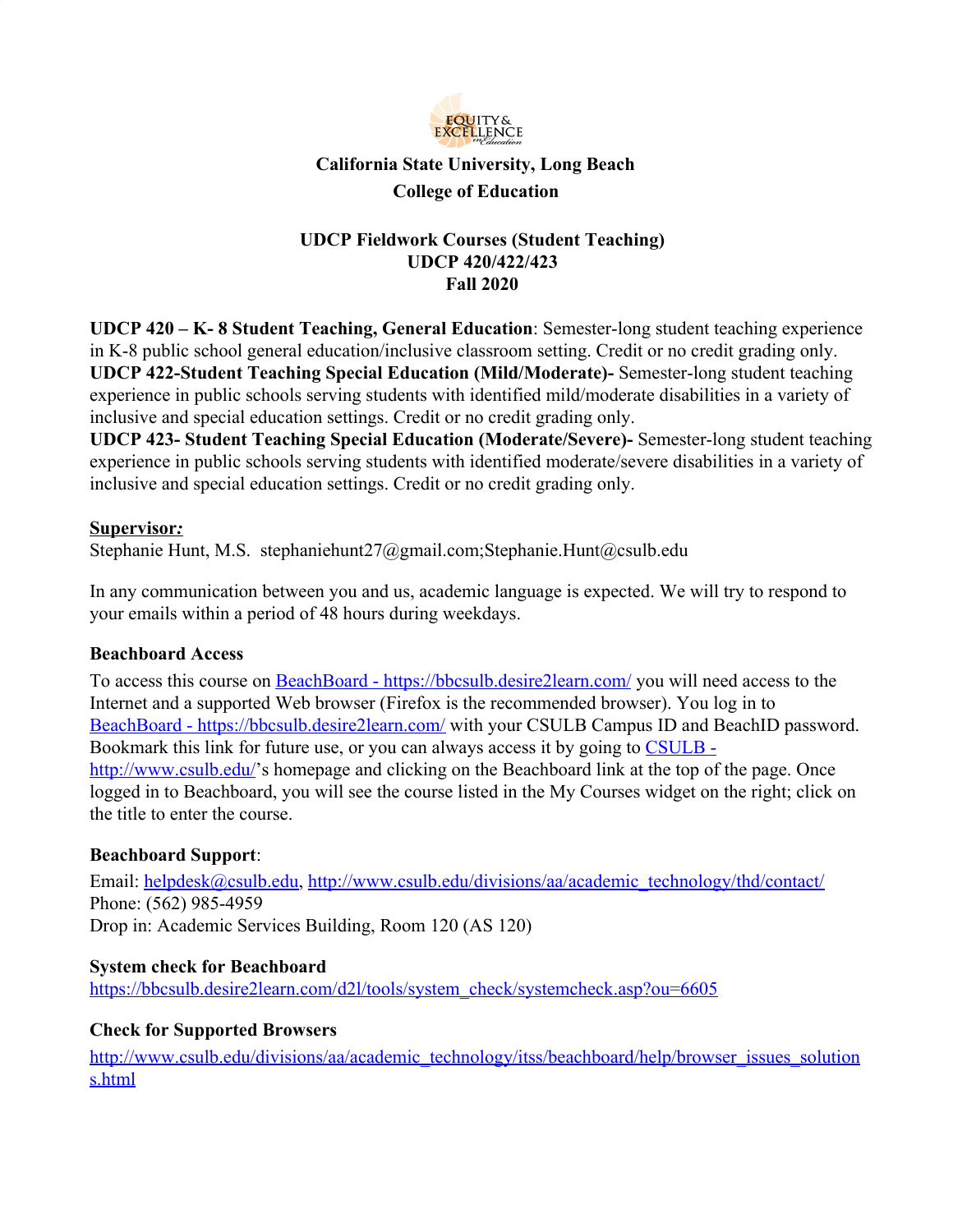

# **California State University, Long Beach College of Education**

## **UDCP Fieldwork Courses (Student Teaching) UDCP 420/422/423 Fall 2020**

**UDCP 420 – K- 8 Student Teaching, General Education**: Semester-long student teaching experience in K-8 public school general education/inclusive classroom setting. Credit or no credit grading only. **UDCP 422-Student Teaching Special Education (Mild/Moderate)-** Semester-long student teaching experience in public schools serving students with identified mild/moderate disabilities in a variety of inclusive and special education settings. Credit or no credit grading only.

**UDCP 423- Student Teaching Special Education (Moderate/Severe)-** Semester-long student teaching experience in public schools serving students with identified moderate/severe disabilities in a variety of inclusive and special education settings. Credit or no credit grading only.

## **Supervisor***:*

Stephanie Hunt, M.S. stephaniehunt27@gmail.com;Stephanie.Hunt@csulb.edu

In any communication between you and us, academic language is expected. We will try to respond to your emails within a period of 48 hours during weekdays.

## **Beachboard Access**

To access this course on [BeachBoard - https://bbcsulb.desire2learn.com/](https://bbcsulb.desire2learn.com/) you will need access to the Internet and a supported Web browser (Firefox is the recommended browser). You log in to [BeachBoard - https://bbcsulb.desire2learn.com/](https://bbcsulb.desire2learn.com/) with your CSULB Campus ID and BeachID password. Bookmark this link for future use, or you can always access it by going to [CSULB](http://www.csulb.edu/)  <http://www.csulb.edu/>'s homepage and clicking on the Beachboard link at the top of the page. Once logged in to Beachboard, you will see the course listed in the My Courses widget on the right; click on the title to enter the course.

## **Beachboard Support**:

Email: [helpdesk@csulb.edu,](mailto:helpdesk@csulb.edu) [http://www.csulb.edu/divisions/aa/academic\\_technology/thd/contact/](http://www.csulb.edu/divisions/aa/academic_technology/thd/contact/) Phone: (562) 985-4959 Drop in: Academic Services Building, Room 120 (AS 120)

#### **System check for Beachboard**

[https://bbcsulb.desire2learn.com/d2l/tools/system\\_check/systemcheck.asp?ou=6605](https://bbcsulb.desire2learn.com/d2l/tools/system_check/systemcheck.asp?ou=6605)

#### **Check for Supported Browsers**

[http://www.csulb.edu/divisions/aa/academic\\_technology/itss/beachboard/help/browser\\_issues\\_solution](http://www.csulb.edu/divisions/aa/academic_technology/itss/beachboard/help/browser_issues_solutions.html) [s.html](http://www.csulb.edu/divisions/aa/academic_technology/itss/beachboard/help/browser_issues_solutions.html)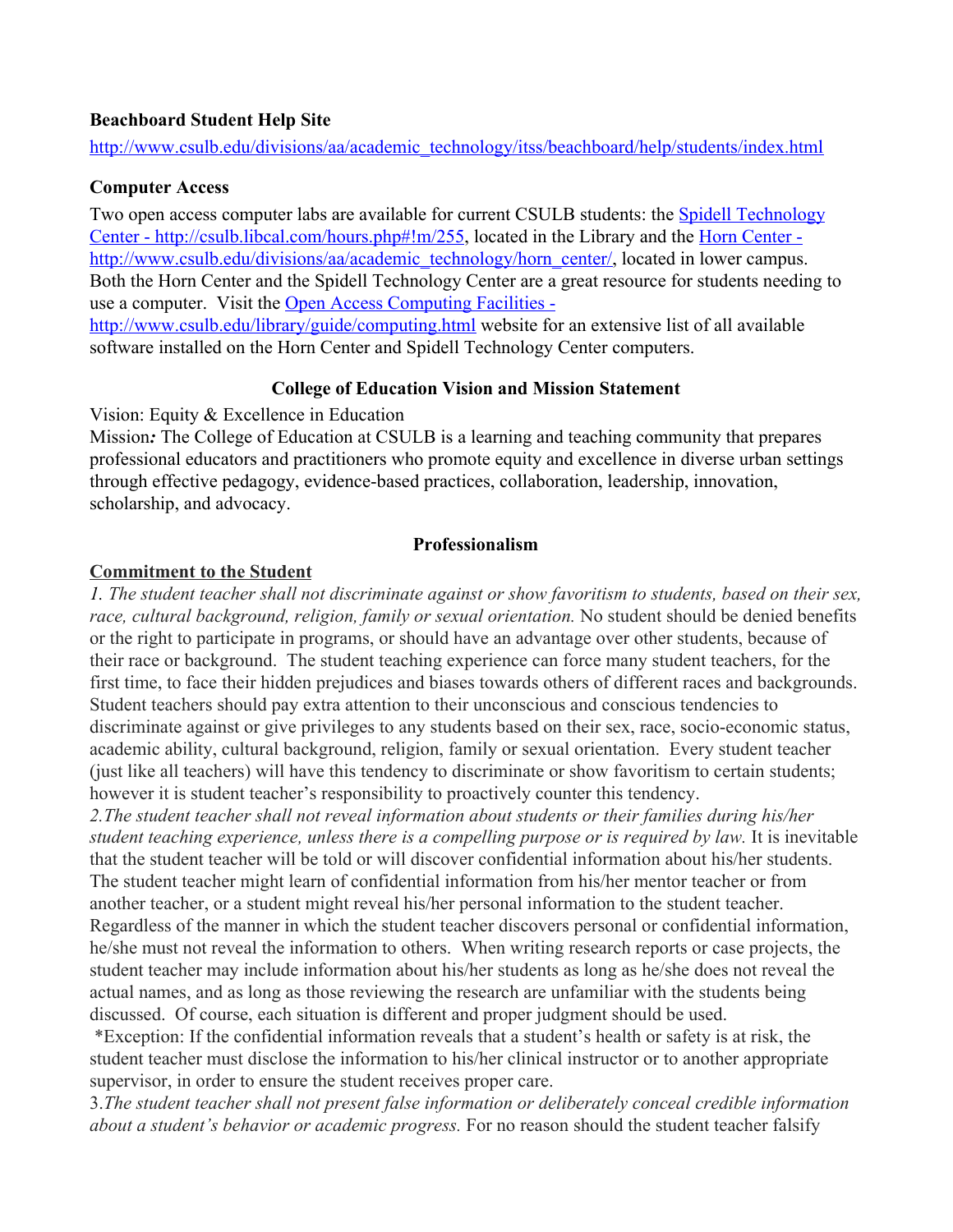#### **Beachboard Student Help Site**

[http://www.csulb.edu/divisions/aa/academic\\_technology/itss/beachboard/help/students/index.html](http://www.csulb.edu/divisions/aa/academic_technology/itss/beachboard/help/students/index.html)

### **Computer Access**

Two open access computer labs are available for current CSULB students: the [Spidell Technology](http://csulb.libcal.com/hours.php#!m/255) [Center - http://csulb.libcal.com/hours.php#!m/255](http://csulb.libcal.com/hours.php#!m/255), located in the Library and the [Horn Center](http://www.csulb.edu/divisions/aa/academic_technology/horn_center/)  [http://www.csulb.edu/divisions/aa/academic\\_technology/horn\\_center/,](http://www.csulb.edu/divisions/aa/academic_technology/horn_center/) located in lower campus. Both the Horn Center and the Spidell Technology Center are a great resource for students needing to use a computer. Visit the [Open Access Computing Facilities](http://www.csulb.edu/library/guide/computing.html)  <http://www.csulb.edu/library/guide/computing.html>website for an extensive list of all available software installed on the Horn Center and Spidell Technology Center computers.

### **College of Education Vision and Mission Statement**

Vision: Equity & Excellence in Education

Mission*:* The College of Education at CSULB is a learning and teaching community that prepares professional educators and practitioners who promote equity and excellence in diverse urban settings through effective pedagogy, evidence-based practices, collaboration, leadership, innovation, scholarship, and advocacy.

### **Professionalism**

### **Commitment to the Student**

*1. The student teacher shall not discriminate against or show favoritism to students, based on their sex,* race, cultural background, religion, family or sexual orientation. No student should be denied benefits or the right to participate in programs, or should have an advantage over other students, because of their race or background. The student teaching experience can force many student teachers, for the first time, to face their hidden prejudices and biases towards others of different races and backgrounds. Student teachers should pay extra attention to their unconscious and conscious tendencies to discriminate against or give privileges to any students based on their sex, race, socio-economic status, academic ability, cultural background, religion, family or sexual orientation. Every student teacher (just like all teachers) will have this tendency to discriminate or show favoritism to certain students; however it is student teacher's responsibility to proactively counter this tendency.

*2.The student teacher shall not reveal information about students or their families during his/her student teaching experience, unless there is a compelling purpose or is required by law.* It is inevitable that the student teacher will be told or will discover confidential information about his/her students. The student teacher might learn of confidential information from his/her mentor teacher or from another teacher, or a student might reveal his/her personal information to the student teacher. Regardless of the manner in which the student teacher discovers personal or confidential information, he/she must not reveal the information to others. When writing research reports or case projects, the student teacher may include information about his/her students as long as he/she does not reveal the actual names, and as long as those reviewing the research are unfamiliar with the students being discussed. Of course, each situation is different and proper judgment should be used.

 \*Exception: If the confidential information reveals that a student's health or safety is at risk, the student teacher must disclose the information to his/her clinical instructor or to another appropriate supervisor, in order to ensure the student receives proper care.

3.*The student teacher shall not present false information or deliberately conceal credible information about a student's behavior or academic progress.* For no reason should the student teacher falsify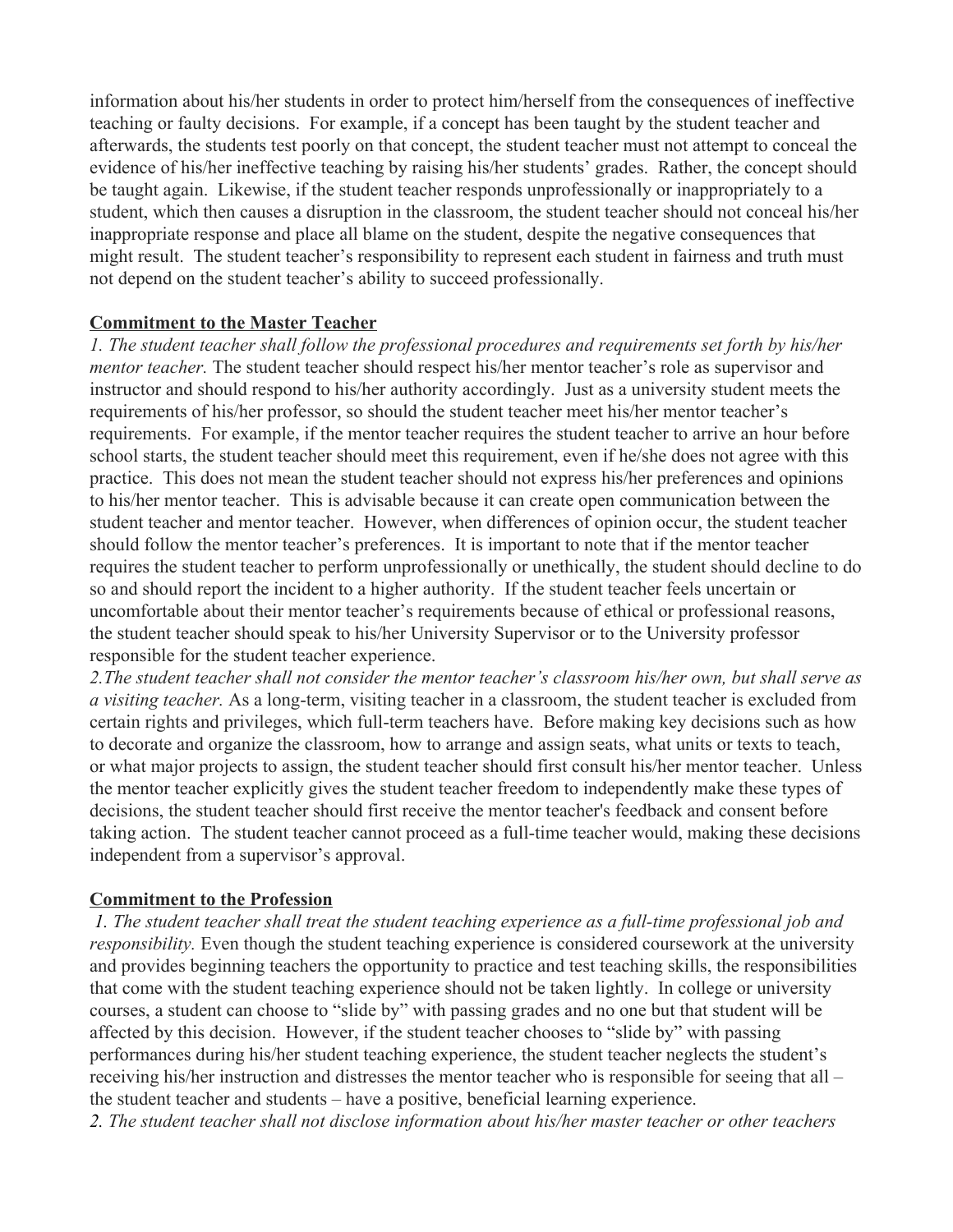information about his/her students in order to protect him/herself from the consequences of ineffective teaching or faulty decisions. For example, if a concept has been taught by the student teacher and afterwards, the students test poorly on that concept, the student teacher must not attempt to conceal the evidence of his/her ineffective teaching by raising his/her students' grades. Rather, the concept should be taught again. Likewise, if the student teacher responds unprofessionally or inappropriately to a student, which then causes a disruption in the classroom, the student teacher should not conceal his/her inappropriate response and place all blame on the student, despite the negative consequences that might result. The student teacher's responsibility to represent each student in fairness and truth must not depend on the student teacher's ability to succeed professionally.

#### **Commitment to the Master Teacher**

*1. The student teacher shall follow the professional procedures and requirements set forth by his/her mentor teacher.* The student teacher should respect his/her mentor teacher's role as supervisor and instructor and should respond to his/her authority accordingly. Just as a university student meets the requirements of his/her professor, so should the student teacher meet his/her mentor teacher's requirements. For example, if the mentor teacher requires the student teacher to arrive an hour before school starts, the student teacher should meet this requirement, even if he/she does not agree with this practice. This does not mean the student teacher should not express his/her preferences and opinions to his/her mentor teacher. This is advisable because it can create open communication between the student teacher and mentor teacher. However, when differences of opinion occur, the student teacher should follow the mentor teacher's preferences. It is important to note that if the mentor teacher requires the student teacher to perform unprofessionally or unethically, the student should decline to do so and should report the incident to a higher authority. If the student teacher feels uncertain or uncomfortable about their mentor teacher's requirements because of ethical or professional reasons, the student teacher should speak to his/her University Supervisor or to the University professor responsible for the student teacher experience.

*2.The student teacher shall not consider the mentor teacher's classroom his/her own, but shall serve as a visiting teacher.* As a long-term, visiting teacher in a classroom, the student teacher is excluded from certain rights and privileges, which full-term teachers have. Before making key decisions such as how to decorate and organize the classroom, how to arrange and assign seats, what units or texts to teach, or what major projects to assign, the student teacher should first consult his/her mentor teacher. Unless the mentor teacher explicitly gives the student teacher freedom to independently make these types of decisions, the student teacher should first receive the mentor teacher's feedback and consent before taking action. The student teacher cannot proceed as a full-time teacher would, making these decisions independent from a supervisor's approval.

#### **Commitment to the Profession**

*1. The student teacher shall treat the student teaching experience as a full-time professional job and responsibility.* Even though the student teaching experience is considered coursework at the university and provides beginning teachers the opportunity to practice and test teaching skills, the responsibilities that come with the student teaching experience should not be taken lightly. In college or university courses, a student can choose to "slide by" with passing grades and no one but that student will be affected by this decision. However, if the student teacher chooses to "slide by" with passing performances during his/her student teaching experience, the student teacher neglects the student's receiving his/her instruction and distresses the mentor teacher who is responsible for seeing that all – the student teacher and students – have a positive, beneficial learning experience. *2. The student teacher shall not disclose information about his/her master teacher or other teachers*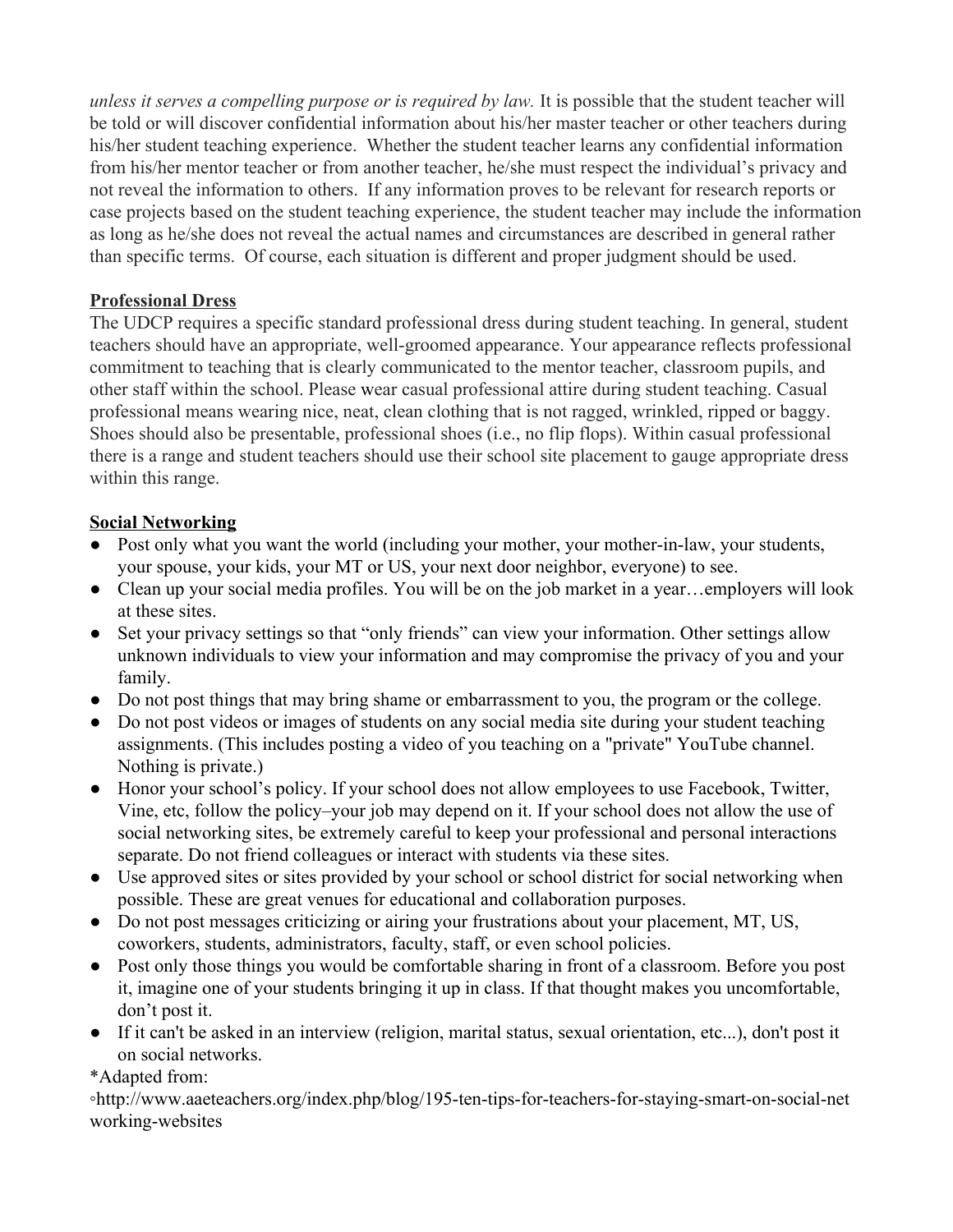*unless it serves a compelling purpose or is required by law.* It is possible that the student teacher will be told or will discover confidential information about his/her master teacher or other teachers during his/her student teaching experience. Whether the student teacher learns any confidential information from his/her mentor teacher or from another teacher, he/she must respect the individual's privacy and not reveal the information to others. If any information proves to be relevant for research reports or case projects based on the student teaching experience, the student teacher may include the information as long as he/she does not reveal the actual names and circumstances are described in general rather than specific terms. Of course, each situation is different and proper judgment should be used.

### **Professional Dress**

The UDCP requires a specific standard professional dress during student teaching. In general, student teachers should have an appropriate, well-groomed appearance. Your appearance reflects professional commitment to teaching that is clearly communicated to the mentor teacher, classroom pupils, and other staff within the school. Please wear casual professional attire during student teaching. Casual professional means wearing nice, neat, clean clothing that is not ragged, wrinkled, ripped or baggy. Shoes should also be presentable, professional shoes (i.e., no flip flops). Within casual professional there is a range and student teachers should use their school site placement to gauge appropriate dress within this range.

### **Social Networking**

- Post only what you want the world (including your mother, your mother-in-law, your students, your spouse, your kids, your MT or US, your next door neighbor, everyone) to see.
- Clean up your social media profiles. You will be on the job market in a year...employers will look at these sites.
- Set your privacy settings so that "only friends" can view your information. Other settings allow unknown individuals to view your information and may compromise the privacy of you and your family.
- Do not post things that may bring shame or embarrassment to you, the program or the college.
- Do not post videos or images of students on any social media site during your student teaching assignments. (This includes posting a video of you teaching on a "private" YouTube channel. Nothing is private.)
- Honor your school's policy. If your school does not allow employees to use Facebook, Twitter, Vine, etc, follow the policy–your job may depend on it. If your school does not allow the use of social networking sites, be extremely careful to keep your professional and personal interactions separate. Do not friend colleagues or interact with students via these sites.
- Use approved sites or sites provided by your school or school district for social networking when possible. These are great venues for educational and collaboration purposes.
- Do not post messages criticizing or airing your frustrations about your placement, MT, US, coworkers, students, administrators, faculty, staff, or even school policies.
- Post only those things you would be comfortable sharing in front of a classroom. Before you post it, imagine one of your students bringing it up in class. If that thought makes you uncomfortable, don't post it.
- If it can't be asked in an interview (religion, marital status, sexual orientation, etc...), don't post it on social networks.

#### \*Adapted from:

◦http://www.aaeteachers.org/index.php/blog/195-ten-tips-for-teachers-for-staying-smart-on-social-net working-websites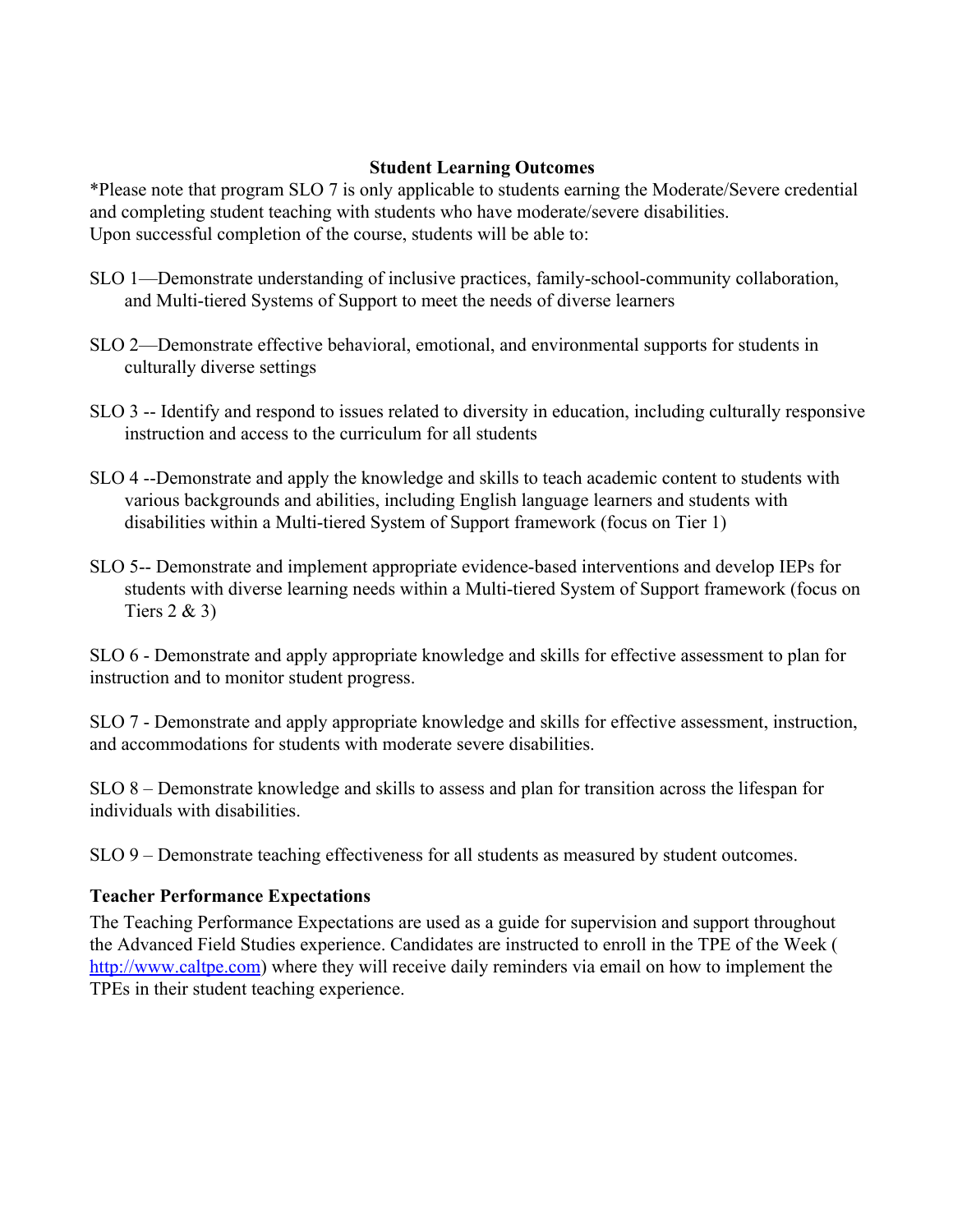#### **Student Learning Outcomes**

\*Please note that program SLO 7 is only applicable to students earning the Moderate/Severe credential and completing student teaching with students who have moderate/severe disabilities. Upon successful completion of the course, students will be able to:

- SLO 1—Demonstrate understanding of inclusive practices, family-school-community collaboration, and Multi-tiered Systems of Support to meet the needs of diverse learners
- SLO 2—Demonstrate effective behavioral, emotional, and environmental supports for students in culturally diverse settings
- SLO 3 -- Identify and respond to issues related to diversity in education, including culturally responsive instruction and access to the curriculum for all students
- SLO 4 --Demonstrate and apply the knowledge and skills to teach academic content to students with various backgrounds and abilities, including English language learners and students with disabilities within a Multi-tiered System of Support framework (focus on Tier 1)
- SLO 5-- Demonstrate and implement appropriate evidence-based interventions and develop IEPs for students with diverse learning needs within a Multi-tiered System of Support framework (focus on Tiers 2 & 3)

SLO 6 - Demonstrate and apply appropriate knowledge and skills for effective assessment to plan for instruction and to monitor student progress.

SLO 7 - Demonstrate and apply appropriate knowledge and skills for effective assessment, instruction, and accommodations for students with moderate severe disabilities.

SLO 8 – Demonstrate knowledge and skills to assess and plan for transition across the lifespan for individuals with disabilities.

SLO 9 – Demonstrate teaching effectiveness for all students as measured by student outcomes.

#### **Teacher Performance Expectations**

The Teaching Performance Expectations are used as a guide for supervision and support throughout the Advanced Field Studies experience. Candidates are instructed to enroll in the TPE of the Week ( [http://www.caltpe.com](http://www.caltpe.com/)) where they will receive daily reminders via email on how to implement the TPEs in their student teaching experience.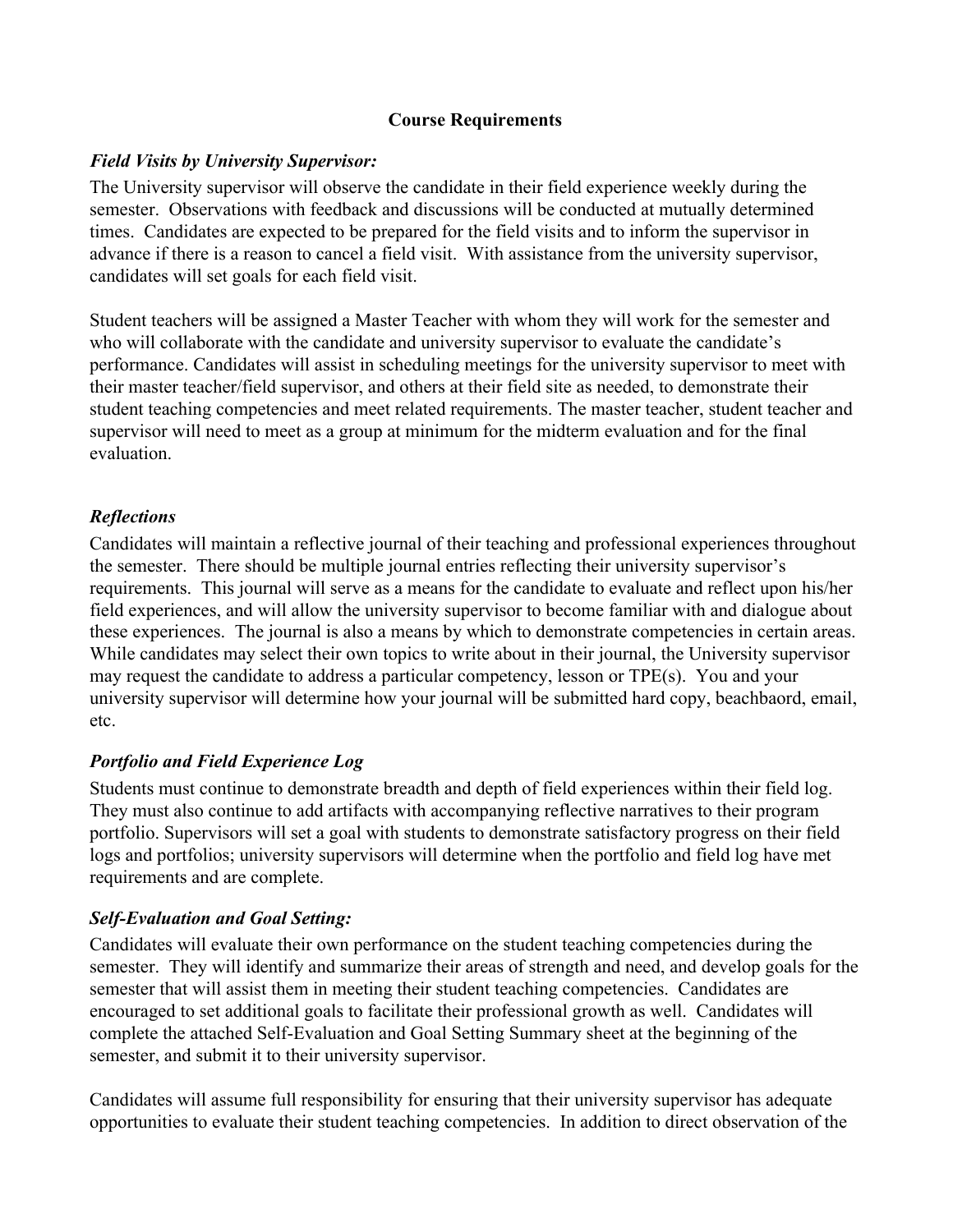### **Course Requirements**

#### *Field Visits by University Supervisor:*

The University supervisor will observe the candidate in their field experience weekly during the semester. Observations with feedback and discussions will be conducted at mutually determined times. Candidates are expected to be prepared for the field visits and to inform the supervisor in advance if there is a reason to cancel a field visit. With assistance from the university supervisor, candidates will set goals for each field visit.

Student teachers will be assigned a Master Teacher with whom they will work for the semester and who will collaborate with the candidate and university supervisor to evaluate the candidate's performance. Candidates will assist in scheduling meetings for the university supervisor to meet with their master teacher/field supervisor, and others at their field site as needed, to demonstrate their student teaching competencies and meet related requirements. The master teacher, student teacher and supervisor will need to meet as a group at minimum for the midterm evaluation and for the final evaluation.

### *Reflections*

Candidates will maintain a reflective journal of their teaching and professional experiences throughout the semester. There should be multiple journal entries reflecting their university supervisor's requirements. This journal will serve as a means for the candidate to evaluate and reflect upon his/her field experiences, and will allow the university supervisor to become familiar with and dialogue about these experiences. The journal is also a means by which to demonstrate competencies in certain areas. While candidates may select their own topics to write about in their journal, the University supervisor may request the candidate to address a particular competency, lesson or TPE(s). You and your university supervisor will determine how your journal will be submitted hard copy, beachbaord, email, etc.

## *Portfolio and Field Experience Log*

Students must continue to demonstrate breadth and depth of field experiences within their field log. They must also continue to add artifacts with accompanying reflective narratives to their program portfolio. Supervisors will set a goal with students to demonstrate satisfactory progress on their field logs and portfolios; university supervisors will determine when the portfolio and field log have met requirements and are complete.

## *Self-Evaluation and Goal Setting:*

Candidates will evaluate their own performance on the student teaching competencies during the semester. They will identify and summarize their areas of strength and need, and develop goals for the semester that will assist them in meeting their student teaching competencies. Candidates are encouraged to set additional goals to facilitate their professional growth as well. Candidates will complete the attached Self-Evaluation and Goal Setting Summary sheet at the beginning of the semester, and submit it to their university supervisor.

Candidates will assume full responsibility for ensuring that their university supervisor has adequate opportunities to evaluate their student teaching competencies. In addition to direct observation of the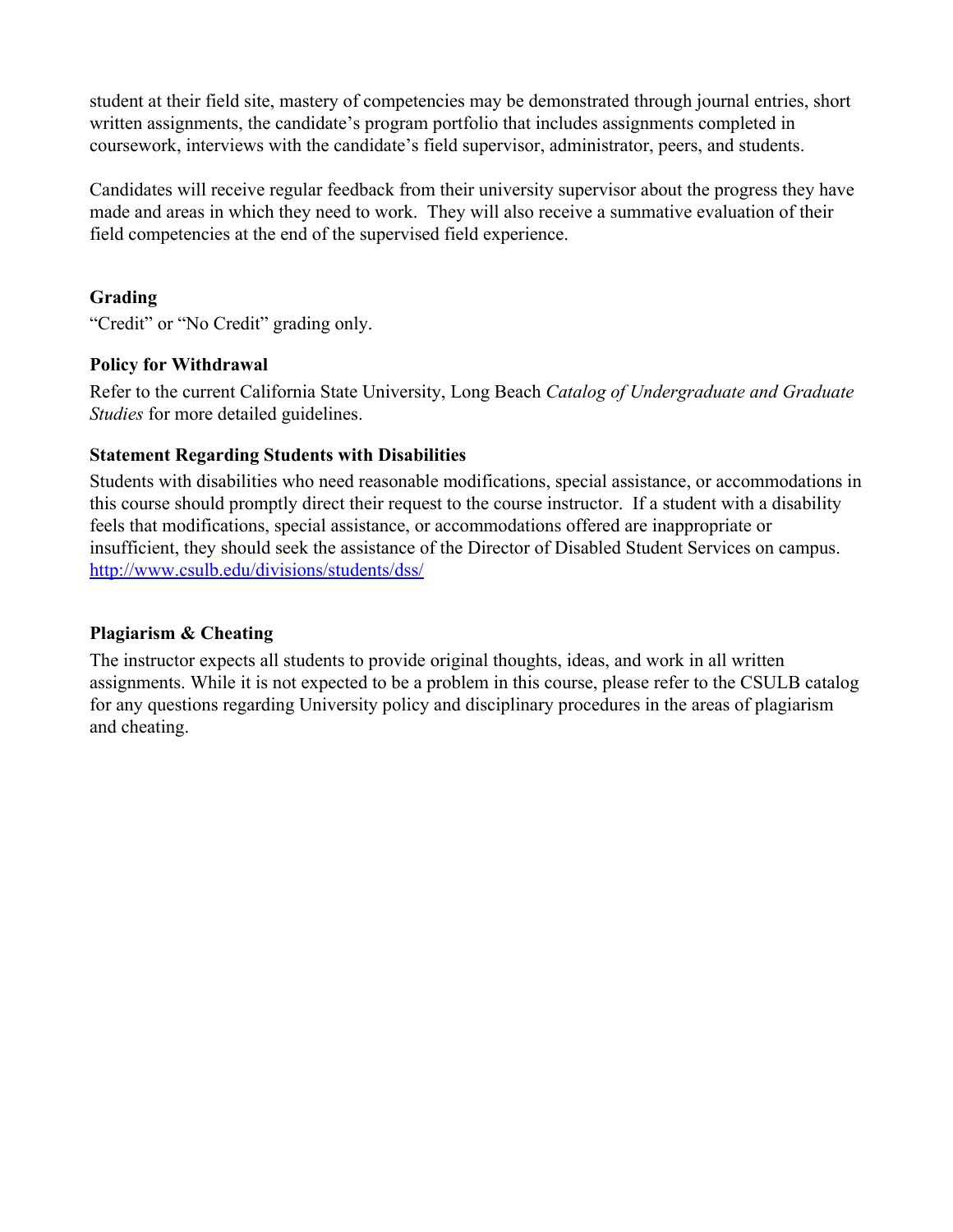student at their field site, mastery of competencies may be demonstrated through journal entries, short written assignments, the candidate's program portfolio that includes assignments completed in coursework, interviews with the candidate's field supervisor, administrator, peers, and students.

Candidates will receive regular feedback from their university supervisor about the progress they have made and areas in which they need to work. They will also receive a summative evaluation of their field competencies at the end of the supervised field experience.

## **Grading**

"Credit" or "No Credit" grading only.

### **Policy for Withdrawal**

Refer to the current California State University, Long Beach *Catalog of Undergraduate and Graduate Studies* for more detailed guidelines.

### **Statement Regarding Students with Disabilities**

Students with disabilities who need reasonable modifications, special assistance, or accommodations in this course should promptly direct their request to the course instructor. If a student with a disability feels that modifications, special assistance, or accommodations offered are inappropriate or insufficient, they should seek the assistance of the Director of Disabled Student Services on campus. <http://www.csulb.edu/divisions/students/dss/>

## **Plagiarism & Cheating**

The instructor expects all students to provide original thoughts, ideas, and work in all written assignments. While it is not expected to be a problem in this course, please refer to the CSULB catalog for any questions regarding University policy and disciplinary procedures in the areas of plagiarism and cheating.